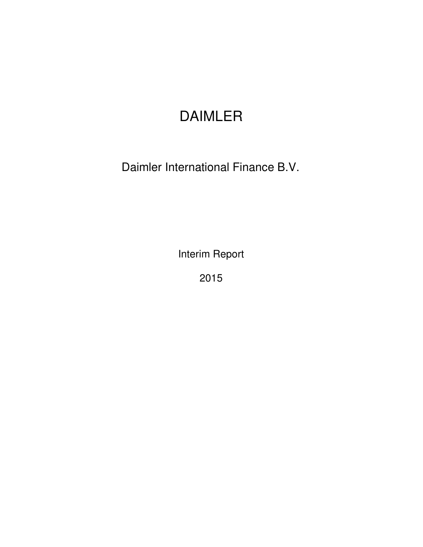# DAIMLER

Daimler International Finance B.V.

Interim Report

2015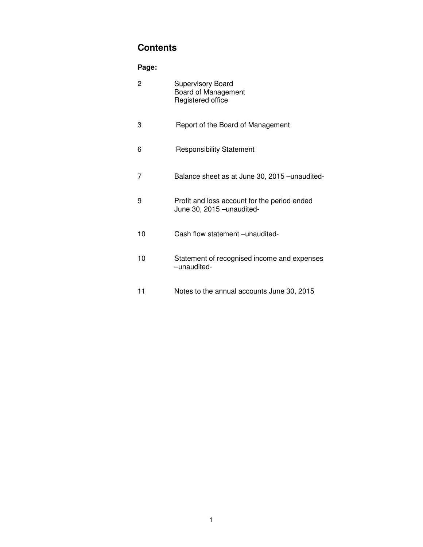# **Contents**

# **Page:**

| $\overline{c}$ | <b>Supervisory Board</b><br>Board of Management<br>Registered office       |
|----------------|----------------------------------------------------------------------------|
| 3              | Report of the Board of Management                                          |
| 6              | <b>Responsibility Statement</b>                                            |
| $\overline{7}$ | Balance sheet as at June 30, 2015 - unaudited-                             |
| 9              | Profit and loss account for the period ended<br>June 30, 2015 - unaudited- |
| 10             | Cash flow statement -unaudited-                                            |
| 10             | Statement of recognised income and expenses<br>-unaudited-                 |
| 11             | Notes to the annual accounts June 30, 2015                                 |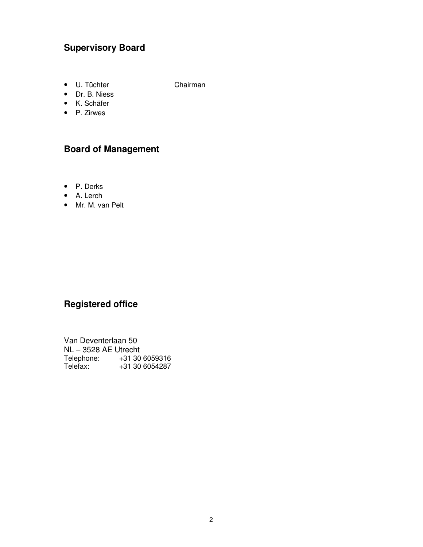# **Supervisory Board**

• U. Tüchter Chairman

• Dr. B. Niess

- K. Schäfer
- P. Zirwes

# **Board of Management**

- P. Derks
- A. Lerch
- Mr. M. van Pelt

# **Registered office**

Van Deventerlaan 50 NL – 3528 AE Utrecht Telephone: +31 30 6059316 Telefax: +31 30 6054287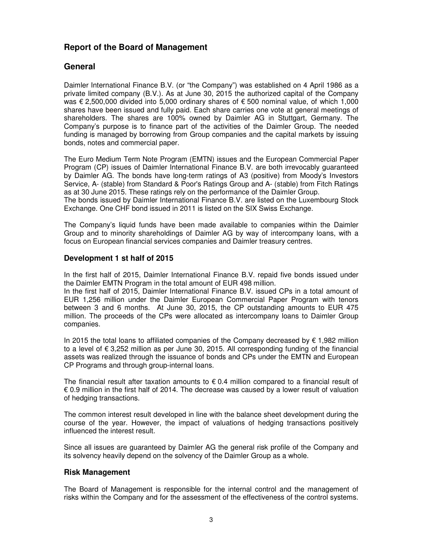# **Report of the Board of Management**

### **General**

Daimler International Finance B.V. (or "the Company") was established on 4 April 1986 as a private limited company (B.V.). As at June 30, 2015 the authorized capital of the Company was € 2,500,000 divided into 5,000 ordinary shares of € 500 nominal value, of which 1,000 shares have been issued and fully paid. Each share carries one vote at general meetings of shareholders. The shares are 100% owned by Daimler AG in Stuttgart, Germany. The Company's purpose is to finance part of the activities of the Daimler Group. The needed funding is managed by borrowing from Group companies and the capital markets by issuing bonds, notes and commercial paper.

The Euro Medium Term Note Program (EMTN) issues and the European Commercial Paper Program (CP) issues of Daimler International Finance B.V. are both irrevocably guaranteed by Daimler AG. The bonds have long-term ratings of A3 (positive) from Moody's Investors Service, A- (stable) from Standard & Poor's Ratings Group and A- (stable) from Fitch Ratings as at 30 June 2015. These ratings rely on the performance of the Daimler Group. The bonds issued by Daimler International Finance B.V. are listed on the Luxembourg Stock Exchange. One CHF bond issued in 2011 is listed on the SIX Swiss Exchange.

The Company's liquid funds have been made available to companies within the Daimler Group and to minority shareholdings of Daimler AG by way of intercompany loans, with a focus on European financial services companies and Daimler treasury centres.

#### **Development 1 st half of 2015**

In the first half of 2015, Daimler International Finance B.V. repaid five bonds issued under the Daimler EMTN Program in the total amount of EUR 498 million.

In the first half of 2015, Daimler International Finance B.V. issued CPs in a total amount of EUR 1,256 million under the Daimler European Commercial Paper Program with tenors between 3 and 6 months. At June 30, 2015, the CP outstanding amounts to EUR 475 million. The proceeds of the CPs were allocated as intercompany loans to Daimler Group companies.

In 2015 the total loans to affiliated companies of the Company decreased by € 1,982 million to a level of € 3,252 million as per June 30, 2015. All corresponding funding of the financial assets was realized through the issuance of bonds and CPs under the EMTN and European CP Programs and through group-internal loans.

The financial result after taxation amounts to  $\epsilon$  0.4 million compared to a financial result of € 0.9 million in the first half of 2014. The decrease was caused by a lower result of valuation of hedging transactions.

The common interest result developed in line with the balance sheet development during the course of the year. However, the impact of valuations of hedging transactions positively influenced the interest result.

Since all issues are guaranteed by Daimler AG the general risk profile of the Company and its solvency heavily depend on the solvency of the Daimler Group as a whole.

#### **Risk Management**

The Board of Management is responsible for the internal control and the management of risks within the Company and for the assessment of the effectiveness of the control systems.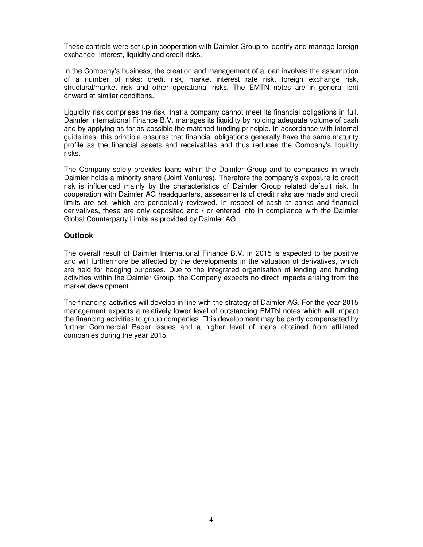These controls were set up in cooperation with Daimler Group to identify and manage foreign exchange, interest, liquidity and credit risks.

In the Company's business, the creation and management of a loan involves the assumption of a number of risks: credit risk, market interest rate risk, foreign exchange risk, structural/market risk and other operational risks. The EMTN notes are in general lent onward at similar conditions.

Liquidity risk comprises the risk, that a company cannot meet its financial obligations in full. Daimler International Finance B.V. manages its liquidity by holding adequate volume of cash and by applying as far as possible the matched funding principle. In accordance with internal guidelines, this principle ensures that financial obligations generally have the same maturity profile as the financial assets and receivables and thus reduces the Company's liquidity risks.

The Company solely provides loans within the Daimler Group and to companies in which Daimler holds a minority share (Joint Ventures). Therefore the company's exposure to credit risk is influenced mainly by the characteristics of Daimler Group related default risk. In cooperation with Daimler AG headquarters, assessments of credit risks are made and credit limits are set, which are periodically reviewed. In respect of cash at banks and financial derivatives, these are only deposited and / or entered into in compliance with the Daimler Global Counterparty Limits as provided by Daimler AG.

#### **Outlook**

The overall result of Daimler International Finance B.V. in 2015 is expected to be positive and will furthermore be affected by the developments in the valuation of derivatives, which are held for hedging purposes. Due to the integrated organisation of lending and funding activities within the Daimler Group, the Company expects no direct impacts arising from the market development.

The financing activities will develop in line with the strategy of Daimler AG. For the year 2015 management expects a relatively lower level of outstanding EMTN notes which will impact the financing activities to group companies. This development may be partly compensated by further Commercial Paper issues and a higher level of loans obtained from affiliated companies during the year 2015.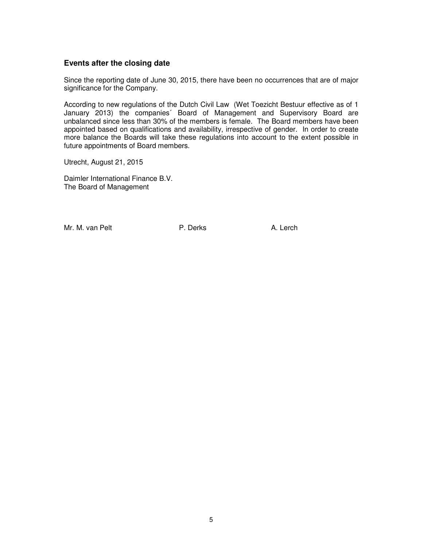#### **Events after the closing date**

Since the reporting date of June 30, 2015, there have been no occurrences that are of major significance for the Company.

According to new regulations of the Dutch Civil Law (Wet Toezicht Bestuur effective as of 1 January 2013) the companies´ Board of Management and Supervisory Board are unbalanced since less than 30% of the members is female. The Board members have been appointed based on qualifications and availability, irrespective of gender. In order to create more balance the Boards will take these regulations into account to the extent possible in future appointments of Board members.

Utrecht, August 21, 2015

Daimler International Finance B.V. The Board of Management

Mr. M. van Pelt **P. Derks** P. Derks A. Lerch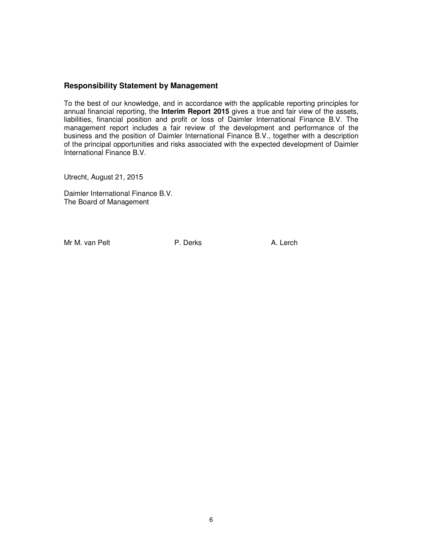#### **Responsibility Statement by Management**

To the best of our knowledge, and in accordance with the applicable reporting principles for annual financial reporting, the **Interim Report 2015** gives a true and fair view of the assets, liabilities, financial position and profit or loss of Daimler International Finance B.V. The management report includes a fair review of the development and performance of the business and the position of Daimler International Finance B.V., together with a description of the principal opportunities and risks associated with the expected development of Daimler International Finance B.V.

Utrecht, August 21, 2015

Daimler International Finance B.V. The Board of Management

Mr M. van Pelt **P. Derks** A. Lerch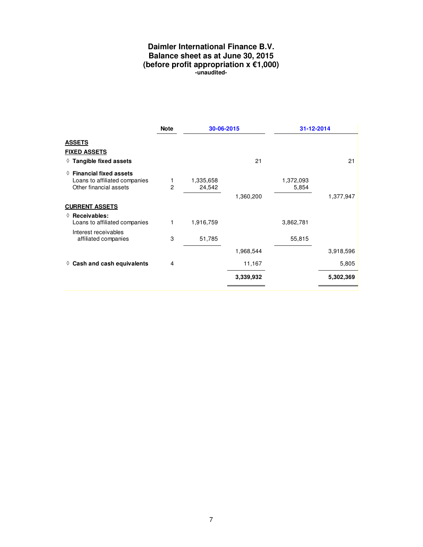#### **Daimler International Finance B.V. Balance sheet as at June 30, 2015 (before profit appropriation x €1,000) -unaudited-**

|                                                                                              | <b>Note</b>        | 30-06-2015          |           | 31-12-2014         |           |
|----------------------------------------------------------------------------------------------|--------------------|---------------------|-----------|--------------------|-----------|
| <b>ASSETS</b>                                                                                |                    |                     |           |                    |           |
| <b>FIXED ASSETS</b>                                                                          |                    |                     |           |                    |           |
| $\Diamond$ Tangible fixed assets                                                             |                    |                     | 21        |                    | 21        |
| $\Diamond$ Financial fixed assets<br>Loans to affiliated companies<br>Other financial assets | 1<br>$\mathcal{P}$ | 1,335,658<br>24,542 |           | 1,372,093<br>5,854 |           |
|                                                                                              |                    |                     | 1,360,200 |                    | 1,377,947 |
| <b>CURRENT ASSETS</b>                                                                        |                    |                     |           |                    |           |
| $\Diamond$ Receivables:<br>Loans to affiliated companies                                     | 1                  | 1,916,759           |           | 3,862,781          |           |
| Interest receivables<br>affiliated companies                                                 | 3                  | 51,785              |           | 55,815             |           |
|                                                                                              |                    |                     | 1,968,544 |                    | 3,918,596 |
| Cash and cash equivalents<br>♦                                                               | 4                  |                     | 11,167    |                    | 5,805     |
|                                                                                              |                    |                     | 3,339,932 |                    | 5,302,369 |
|                                                                                              |                    |                     |           |                    |           |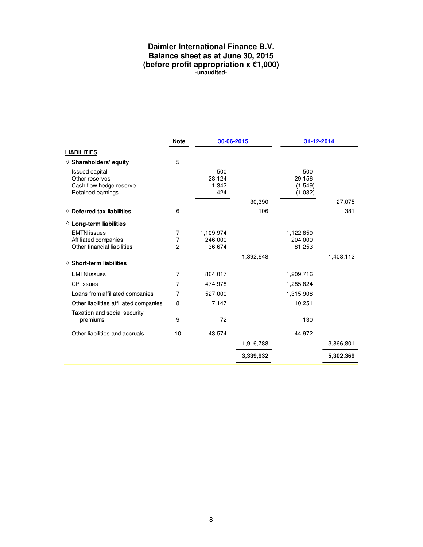#### **Daimler International Finance B.V. Balance sheet as at June 30, 2015 (before profit appropriation x €1,000) -unaudited-**

|                                                                                         | <b>Note</b>    | 30-06-2015                    |           | 31-12-2014                          |           |
|-----------------------------------------------------------------------------------------|----------------|-------------------------------|-----------|-------------------------------------|-----------|
| <b>LIABILITIES</b>                                                                      |                |                               |           |                                     |           |
| ◊ Shareholders' equity                                                                  | 5              |                               |           |                                     |           |
| <b>Issued capital</b><br>Other reserves<br>Cash flow hedge reserve<br>Retained earnings |                | 500<br>28,124<br>1,342<br>424 |           | 500<br>29,156<br>(1,549)<br>(1,032) |           |
|                                                                                         |                |                               | 30,390    |                                     | 27,075    |
| $\Diamond$ Deferred tax liabilities                                                     | 6              |                               | 106       |                                     | 381       |
| $\Diamond$ Long-term liabilities                                                        |                |                               |           |                                     |           |
| <b>EMTN</b> issues                                                                      | 7              | 1,109,974                     |           | 1,122,859                           |           |
| Affiliated companies                                                                    | 7              | 246,000                       |           | 204,000                             |           |
| Other financial liabilities                                                             | $\overline{c}$ | 36,674                        |           | 81,253                              |           |
|                                                                                         |                |                               | 1,392,648 |                                     | 1,408,112 |
| $\Diamond$ Short-term liabilities                                                       |                |                               |           |                                     |           |
| <b>EMTN</b> issues                                                                      | 7              | 864,017                       |           | 1,209,716                           |           |
| CP issues                                                                               | 7              | 474,978                       |           | 1,285,824                           |           |
| Loans from affiliated companies                                                         | $\overline{7}$ | 527,000                       |           | 1,315,908                           |           |
| Other liabilities affiliated companies                                                  | 8              | 7,147                         |           | 10,251                              |           |
| Taxation and social security<br>premiums                                                | 9              | 72                            |           | 130                                 |           |
| Other liabilities and accruals                                                          | 10             | 43,574                        |           | 44,972                              |           |
|                                                                                         |                |                               | 1,916,788 |                                     | 3,866,801 |
|                                                                                         |                |                               | 3,339,932 |                                     | 5,302,369 |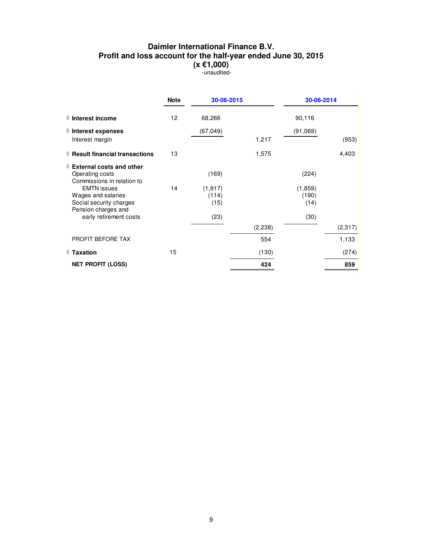#### **Daimler International Finance B.V. Profit and loss account for the half-year ended June 30, 2015 (x €1,000)**  -unaudited-

|                                                                                            | <b>Note</b> | 30-06-2015                |          | 30-06-2014               |         |
|--------------------------------------------------------------------------------------------|-------------|---------------------------|----------|--------------------------|---------|
| $\Diamond$ Interest income                                                                 | 12          | 68,266                    |          | 90,116                   |         |
| $\Diamond$ Interest expenses                                                               |             | (67, 049)                 |          | (91,069)                 |         |
| Interest margin                                                                            |             |                           | 1,217    |                          | (953)   |
| $\Diamond$ Result financial transactions                                                   | 13          |                           | 1,575    |                          | 4,403   |
| $\Diamond$ External costs and other<br>Operating costs<br>Commissions in relation to       |             | (169)                     |          | (224)                    |         |
| <b>EMTN</b> issues<br>Wages and salaries<br>Social security charges<br>Pension charges and | 14          | (1, 917)<br>(114)<br>(15) |          | (1,859)<br>(190)<br>(14) |         |
| early retirement costs                                                                     |             | (23)                      |          | (30)                     |         |
|                                                                                            |             |                           | (2, 238) |                          | (2,317) |
| PROFIT BEFORE TAX                                                                          |             |                           | 554      |                          | 1,133   |
| $\Diamond$ Taxation                                                                        | 15          |                           | (130)    |                          | (274)   |
| <b>NET PROFIT (LOSS)</b>                                                                   |             |                           | 424      |                          | 859     |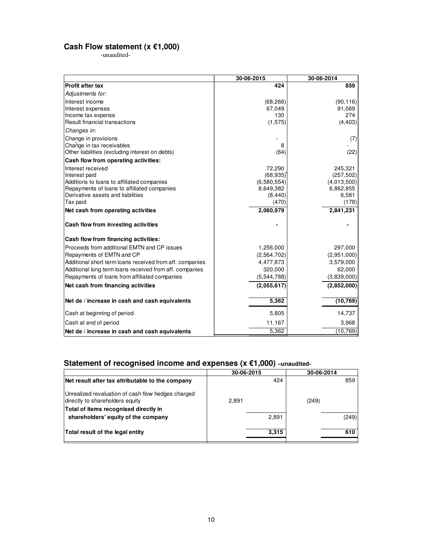#### **Cash Flow statement (x €1,000)**

-unaudited-

|                                                          | 30-06-2015  | 30-06-2014  |
|----------------------------------------------------------|-------------|-------------|
| <b>Profit after tax</b>                                  | 424         | 859         |
| Adjustments for:                                         |             |             |
| Interest income                                          | (68, 266)   | (90, 116)   |
| Interest expenses                                        | 67,049      | 91,069      |
| Income tax expense                                       | 130         | 274         |
| Result financial transactions                            | (1, 575)    | (4, 403)    |
| Changes in:                                              |             |             |
| Change in provisions                                     |             | (7)         |
| Change in tax receivables                                | 8           |             |
| Other liabilities (excluding interest on debts)          | (64)        | (22)        |
| Cash flow from operating activities:                     |             |             |
| Interest received                                        | 72,290      | 245,321     |
| Interest paid                                            | (68, 935)   | (257, 502)  |
| Additions to loans to affiliated companies               | (6,580,554) | (4,013,500) |
| Repayments of loans to affiliated companies              | 8,649,382   | 6,862,855   |
| Derivative assets and liabilities                        | (8, 440)    | 6,581       |
| Tax paid                                                 | (470)       | (178)       |
| Net cash from operating activities                       | 2,060,979   | 2,841,231   |
| Cash flow from investing activities                      |             |             |
| Cash flow from financing activities:                     |             |             |
| Proceeds from additional EMTN and CP issues              | 1,256,000   | 297,000     |
| Repayments of EMTN and CP                                | (2,564,702) | (2,951,000) |
| Additional short term loans received from aff. companies | 4,477,873   | 3,579,000   |
| Additional long term loans received from aff. companies  | 320,000     | 62,000      |
| Repayments of loans from affiliated companies            | (5,544,788) | (3,839,000) |
| Net cash from financing activities                       | (2,055,617) | (2,852,000) |
| Net de / increase in cash and cash equivalents           | 5,362       | (10, 769)   |
| Cash at beginning of period                              | 5,805       | 14,737      |
| Cash at end of period                                    | 11,167      | 3,968       |
| Net de / increase in cash and cash equivalents           | 5,362       | (10, 769)   |

# **Statement of recognised income and expenses (x €1,000) –unaudited-**

|                                                                                       | 30-06-2015 | 30-06-2014 |
|---------------------------------------------------------------------------------------|------------|------------|
| Net result after tax attributable to the company                                      |            | 424<br>859 |
| Unrealized revaluation of cash flow hedges charged<br>directly to shareholders equity | 2.891      | (249)      |
| Total of items recognised directly in                                                 |            |            |
| shareholders' equity of the company                                                   | 2,891      | (249)      |
| Total result of the legal entity                                                      | 3.315      | 610        |
|                                                                                       |            |            |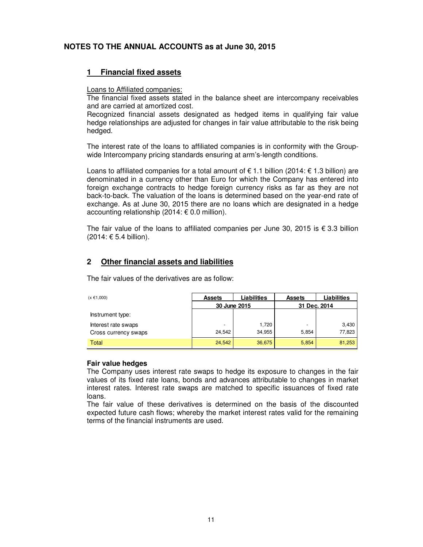### **NOTES TO THE ANNUAL ACCOUNTS as at June 30, 2015**

#### **1 Financial fixed assets**

#### Loans to Affiliated companies:

The financial fixed assets stated in the balance sheet are intercompany receivables and are carried at amortized cost.

Recognized financial assets designated as hedged items in qualifying fair value hedge relationships are adjusted for changes in fair value attributable to the risk being hedged.

The interest rate of the loans to affiliated companies is in conformity with the Groupwide Intercompany pricing standards ensuring at arm's-length conditions.

Loans to affiliated companies for a total amount of  $\epsilon$  1.1 billion (2014:  $\epsilon$  1.3 billion) are denominated in a currency other than Euro for which the Company has entered into foreign exchange contracts to hedge foreign currency risks as far as they are not back-to-back. The valuation of the loans is determined based on the year-end rate of exchange. As at June 30, 2015 there are no loans which are designated in a hedge accounting relationship (2014: € 0.0 million).

The fair value of the loans to affiliated companies per June 30, 2015 is  $\epsilon$  3.3 billion (2014: € 5.4 billion).

#### **2 Other financial assets and liabilities**

The fair values of the derivatives are as follow:

| $(x \in 1,000)$      | <b>Assets</b> | Liabilities | <b>Assets</b> | Liabilities |  |
|----------------------|---------------|-------------|---------------|-------------|--|
|                      | 30 June 2015  |             | 31 Dec. 2014  |             |  |
| Instrument type:     |               |             |               |             |  |
| Interest rate swaps  | ٠             | 1,720       | -             | 3,430       |  |
| Cross currency swaps | 24,542        | 34.955      | 5,854         | 77,823      |  |
| Total                | 24,542        | 36,675      | 5,854         | 81,253      |  |

#### **Fair value hedges**

The Company uses interest rate swaps to hedge its exposure to changes in the fair values of its fixed rate loans, bonds and advances attributable to changes in market interest rates. Interest rate swaps are matched to specific issuances of fixed rate loans.

The fair value of these derivatives is determined on the basis of the discounted expected future cash flows; whereby the market interest rates valid for the remaining terms of the financial instruments are used.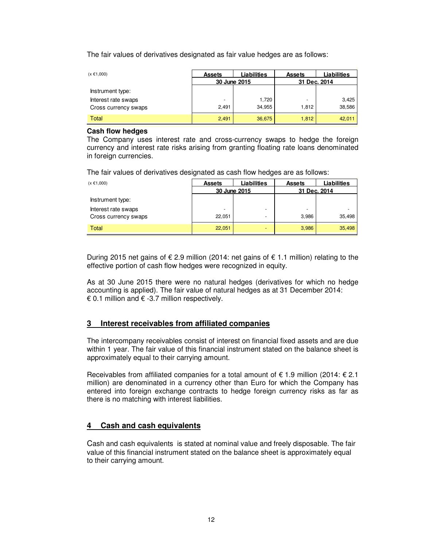The fair values of derivatives designated as fair value hedges are as follows:

| $(x \in 1,000)$      | <b>Assets</b> | Liabilities | <b>Assets</b> | <b>Liabilities</b> |  |
|----------------------|---------------|-------------|---------------|--------------------|--|
|                      | 30 June 2015  |             | 31 Dec. 2014  |                    |  |
| Instrument type:     |               |             |               |                    |  |
| Interest rate swaps  | -             | 1,720       | -             | 3,425              |  |
| Cross currency swaps | 2.491         | 34.955      | 1.812         | 38,586             |  |
| Total                | 2,491         | 36,675      | 1,812         | 42,011             |  |

#### **Cash flow hedges**

The Company uses interest rate and cross-currency swaps to hedge the foreign currency and interest rate risks arising from granting floating rate loans denominated in foreign currencies.

The fair values of derivatives designated as cash flow hedges are as follows:

| $(x \in 1,000)$      | Liabilities<br><b>Assets</b> |   | <b>Assets</b> | Liabilities |  |
|----------------------|------------------------------|---|---------------|-------------|--|
|                      | 30 June 2015                 |   | 31 Dec. 2014  |             |  |
| Instrument type:     |                              |   |               |             |  |
| Interest rate swaps  | -                            | - | ۰             |             |  |
| Cross currency swaps | 22.051                       | - | 3.986         | 35,498      |  |
| Total                | 22,051                       | - | 3,986         | 35,498      |  |

During 2015 net gains of € 2.9 million (2014: net gains of € 1.1 million) relating to the effective portion of cash flow hedges were recognized in equity.

As at 30 June 2015 there were no natural hedges (derivatives for which no hedge accounting is applied). The fair value of natural hedges as at 31 December 2014: € 0.1 million and  $∈$  -3.7 million respectively.

#### **3 Interest receivables from affiliated companies**

The intercompany receivables consist of interest on financial fixed assets and are due within 1 year. The fair value of this financial instrument stated on the balance sheet is approximately equal to their carrying amount.

Receivables from affiliated companies for a total amount of  $\epsilon$  1.9 million (2014:  $\epsilon$  2.1 million) are denominated in a currency other than Euro for which the Company has entered into foreign exchange contracts to hedge foreign currency risks as far as there is no matching with interest liabilities.

#### **4 Cash and cash equivalents**

Cash and cash equivalents is stated at nominal value and freely disposable. The fair value of this financial instrument stated on the balance sheet is approximately equal to their carrying amount.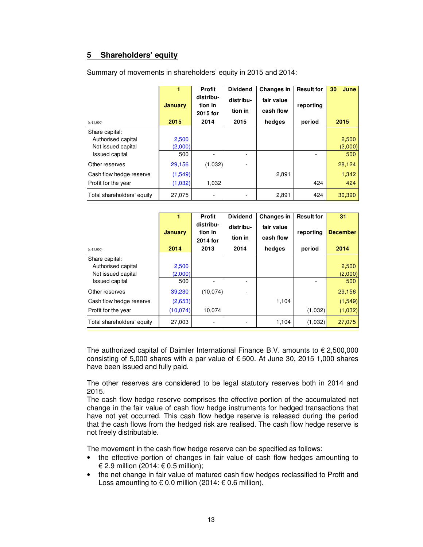## **5 Shareholders' equity**

|                            | 1<br><b>January</b> | <b>Profit</b><br>distribu-<br>tion in | <b>Dividend</b><br>distribu- | <b>Changes in</b><br>fair value | <b>Result for</b><br>reporting | 30<br>June |
|----------------------------|---------------------|---------------------------------------|------------------------------|---------------------------------|--------------------------------|------------|
| $(x \in 1,000)$            | 2015                | 2015 for<br>2014                      | tion in<br>2015              | cash flow<br>hedges             | period                         | 2015       |
| Share capital:             |                     |                                       |                              |                                 |                                |            |
| Authorised capital         | 2,500               |                                       |                              |                                 |                                | 2,500      |
| Not issued capital         | (2,000)             |                                       |                              |                                 |                                | (2,000)    |
| Issued capital             | 500                 |                                       |                              |                                 |                                | 500        |
| Other reserves             | 29,156              | (1,032)                               |                              |                                 |                                | 28,124     |
| Cash flow hedge reserve    | (1,549)             |                                       |                              | 2,891                           |                                | 1,342      |
| Profit for the year        | (1,032)             | 1,032                                 |                              |                                 | 424                            | 424        |
| Total shareholders' equity | 27,075              |                                       |                              | 2,891                           | 424                            | 30,390     |

Summary of movements in shareholders' equity in 2015 and 2014:

|                                                                                     |                                | <b>Profit</b>                    | <b>Dividend</b>      | <b>Changes in</b>       | <b>Result for</b> | 31                            |
|-------------------------------------------------------------------------------------|--------------------------------|----------------------------------|----------------------|-------------------------|-------------------|-------------------------------|
|                                                                                     | <b>January</b>                 | distribu-<br>tion in<br>2014 for | distribu-<br>tion in | fair value<br>cash flow | reporting         | <b>December</b>               |
| $(x \in 1,000)$                                                                     | 2014                           | 2013                             | 2014                 | hedges                  | period            | 2014                          |
| Share capital:<br>Authorised capital<br>Not issued capital<br><b>Issued capital</b> | 2,500<br>(2,000)<br>500        |                                  |                      |                         |                   | 2,500<br>(2,000)<br>500       |
| Other reserves<br>Cash flow hedge reserve<br>Profit for the year                    | 39,230<br>(2,653)<br>(10, 074) | (10.074)<br>10,074               |                      | 1,104                   | (1,032)           | 29,156<br>(1, 549)<br>(1,032) |
| Total shareholders' equity                                                          | 27,003                         |                                  |                      | 1,104                   | (1,032)           | 27,075                        |

The authorized capital of Daimler International Finance B.V. amounts to  $\epsilon$  2,500,000 consisting of 5,000 shares with a par value of  $\epsilon$  500. At June 30, 2015 1,000 shares have been issued and fully paid.

The other reserves are considered to be legal statutory reserves both in 2014 and 2015.

The cash flow hedge reserve comprises the effective portion of the accumulated net change in the fair value of cash flow hedge instruments for hedged transactions that have not yet occurred. This cash flow hedge reserve is released during the period that the cash flows from the hedged risk are realised. The cash flow hedge reserve is not freely distributable.

The movement in the cash flow hedge reserve can be specified as follows:

- the effective portion of changes in fair value of cash flow hedges amounting to € 2.9 million (2014: € 0.5 million);
- the net change in fair value of matured cash flow hedges reclassified to Profit and Loss amounting to € 0.0 million (2014: € 0.6 million).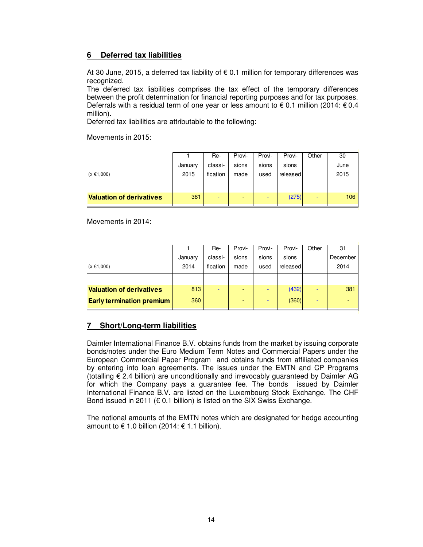### **6 Deferred tax liabilities**

At 30 June, 2015, a deferred tax liability of  $\epsilon$  0.1 million for temporary differences was recognized.

The deferred tax liabilities comprises the tax effect of the temporary differences between the profit determination for financial reporting purposes and for tax purposes. Deferrals with a residual term of one year or less amount to  $\epsilon$  0.1 million (2014:  $\epsilon$  0.4 million).

Deferred tax liabilities are attributable to the following:

Movements in 2015:

|                                 |         | Re-      | Provi-                   | Provi- | Provi-   | Other | 30   |
|---------------------------------|---------|----------|--------------------------|--------|----------|-------|------|
|                                 | January | classi-  | sions                    | sions  | sions    |       | June |
| $(x \in 1,000)$                 | 2015    | fication | made                     | used   | released |       | 2015 |
|                                 |         |          |                          |        |          |       |      |
| <b>Valuation of derivatives</b> | 381     | ۰        | $\overline{\phantom{a}}$ | -      | (275)    | -     | 106  |

Movements in 2014:

|                                  |         | Re-                      | Provi-                   | Provi- | Provi-   | Other                    | 31       |
|----------------------------------|---------|--------------------------|--------------------------|--------|----------|--------------------------|----------|
|                                  | January | classi-                  | sions                    | sions  | sions    |                          | December |
| $(x \in 1,000)$                  | 2014    | fication                 | made                     | used   | released |                          | 2014     |
|                                  |         |                          |                          |        |          |                          |          |
| <b>Valuation of derivatives</b>  | 813     | $\overline{\phantom{0}}$ | -                        | -      | (432)    |                          | 381      |
| <b>Early termination premium</b> | 360     |                          | $\overline{\phantom{a}}$ |        | (360)    | $\overline{\phantom{a}}$ | ٠        |

#### **7 Short/Long-term liabilities**

Daimler International Finance B.V. obtains funds from the market by issuing corporate bonds/notes under the Euro Medium Term Notes and Commercial Papers under the European Commercial Paper Program and obtains funds from affiliated companies by entering into loan agreements. The issues under the EMTN and CP Programs (totalling € 2.4 billion) are unconditionally and irrevocably guaranteed by Daimler AG for which the Company pays a guarantee fee. The bonds issued by Daimler International Finance B.V. are listed on the Luxembourg Stock Exchange. The CHF Bond issued in 2011 ( $\epsilon$  0.1 billion) is listed on the SIX Swiss Exchange.

The notional amounts of the EMTN notes which are designated for hedge accounting amount to  $\epsilon$  1.0 billion (2014:  $\epsilon$  1.1 billion).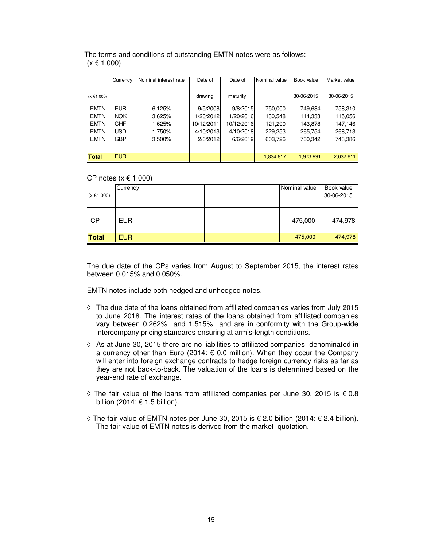|                 | Currency   | Nominal interest rate | Date of    | Date of    | Nominal value | Book value | Market value |
|-----------------|------------|-----------------------|------------|------------|---------------|------------|--------------|
| $(x \in 1,000)$ |            |                       | drawing    | maturity   |               | 30-06-2015 | 30-06-2015   |
| <b>EMTN</b>     | <b>EUR</b> | 6.125%                | 9/5/2008   | 9/8/2015   | 750,000       | 749,684    | 758,310      |
| <b>EMTN</b>     | <b>NOK</b> | 3.625%                | 1/20/2012  | 1/20/2016  | 130,548       | 114,333    | 115,056      |
| <b>EMTN</b>     | <b>CHF</b> | 1.625%                | 10/12/2011 | 10/12/2016 | 121,290       | 143,878    | 147,146      |
| <b>EMTN</b>     | <b>USD</b> | 1.750%                | 4/10/2013  | 4/10/2018  | 229,253       | 265,754    | 268,713      |
| <b>EMTN</b>     | <b>GBP</b> | 3.500%                | 2/6/2012   | 6/6/2019   | 603,726       | 700.342    | 743.386      |
|                 |            |                       |            |            |               |            |              |
| <b>Total</b>    | EUR.       |                       |            |            | 1,834,817     | 1.973.991  | 2,032,611    |

 The terms and conditions of outstanding EMTN notes were as follows:  $(x \in 1,000)$ Ĩ

#### CP notes  $(x \in 1,000)$

| $(x \in 1,000)$ | Currency   |  | Nominal value | Book value<br>30-06-2015 |
|-----------------|------------|--|---------------|--------------------------|
| <b>CP</b>       | <b>EUR</b> |  | 475,000       | 474,978                  |
| <b>Total</b>    | <b>EUR</b> |  | 475,000       | 474,978                  |

The due date of the CPs varies from August to September 2015, the interest rates between 0.015% and 0.050%.

EMTN notes include both hedged and unhedged notes.

- **◊** The due date of the loans obtained from affiliated companies varies from July 2015 to June 2018. The interest rates of the loans obtained from affiliated companies vary between 0.262% and 1.515% and are in conformity with the Group-wide intercompany pricing standards ensuring at arm's-length conditions.
- **◊** As at June 30, 2015 there are no liabilities to affiliated companies denominated in a currency other than Euro (2014:  $\epsilon$  0.0 million). When they occur the Company will enter into foreign exchange contracts to hedge foreign currency risks as far as they are not back-to-back. The valuation of the loans is determined based on the year-end rate of exchange.
- **◊** The fair value of the loans from affiliated companies per June 30, 2015 is € 0.8 billion (2014:  $\epsilon$  1.5 billion).
- **◊** The fair value of EMTN notes per June 30, 2015 is € 2.0 billion (2014: € 2.4 billion). The fair value of EMTN notes is derived from the market quotation.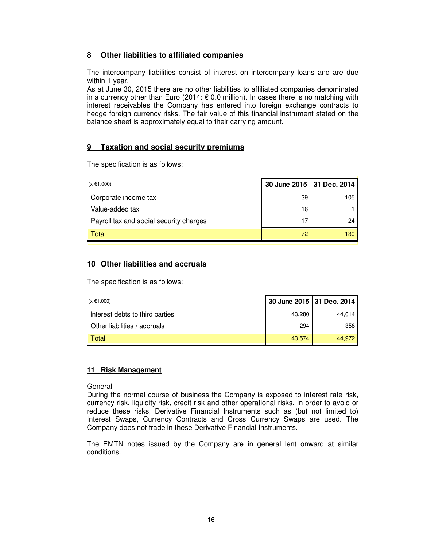### **8 Other liabilities to affiliated companies**

The intercompany liabilities consist of interest on intercompany loans and are due within 1 year.

As at June 30, 2015 there are no other liabilities to affiliated companies denominated in a currency other than Euro (2014:  $\epsilon$  0.0 million). In cases there is no matching with interest receivables the Company has entered into foreign exchange contracts to hedge foreign currency risks. The fair value of this financial instrument stated on the balance sheet is approximately equal to their carrying amount.

#### **9 Taxation and social security premiums**

The specification is as follows:

| $(x \in 1,000)$                         |    | 30 June 2015 31 Dec. 2014 |
|-----------------------------------------|----|---------------------------|
| Corporate income tax                    | 39 | 105                       |
| Value-added tax                         | 16 |                           |
| Payroll tax and social security charges | 17 | 24                        |
| Total                                   | 72 | 130                       |

## **10 Other liabilities and accruals**

The specification is as follows:

| $(x \in 1,000)$                 | 30 June 2015 31 Dec. 2014 |        |
|---------------------------------|---------------------------|--------|
| Interest debts to third parties | 43,280                    | 44.614 |
| Other liabilities / accruals    | 294                       | 358    |
| Total                           | 43.574                    | 44.972 |

#### **11 Risk Management**

#### General

During the normal course of business the Company is exposed to interest rate risk, currency risk, liquidity risk, credit risk and other operational risks. In order to avoid or reduce these risks, Derivative Financial Instruments such as (but not limited to) Interest Swaps, Currency Contracts and Cross Currency Swaps are used. The Company does not trade in these Derivative Financial Instruments.

The EMTN notes issued by the Company are in general lent onward at similar conditions.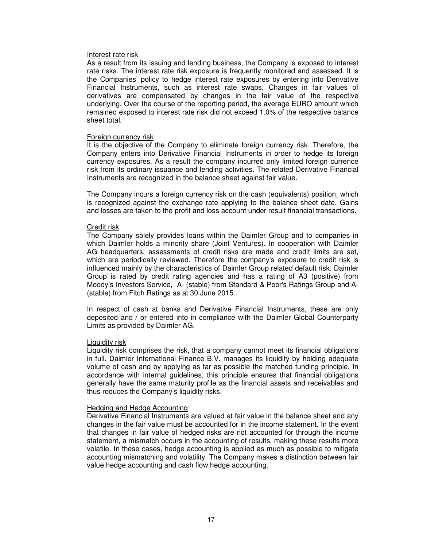#### Interest rate risk

As a result from its issuing and lending business, the Company is exposed to interest rate risks. The interest rate risk exposure is frequently monitored and assessed. It is the Companies' policy to hedge interest rate exposures by entering into Derivative Financial Instruments, such as interest rate swaps. Changes in fair values of derivatives are compensated by changes in the fair value of the respective underlying. Over the course of the reporting period, the average EURO amount which remained exposed to interest rate risk did not exceed 1.0% of the respective balance sheet total.

#### Foreign currency risk

It is the objective of the Company to eliminate foreign currency risk. Therefore, the Company enters into Derivative Financial Instruments in order to hedge its foreign currency exposures. As a result the company incurred only limited foreign currence risk from its ordinary issuance and lending activities. The related Derivative Financial Instruments are recognized in the balance sheet against fair value.

The Company incurs a foreign currency risk on the cash (equivalents) position, which is recognized against the exchange rate applying to the balance sheet date. Gains and losses are taken to the profit and loss account under result financial transactions.

#### Credit risk

The Company solely provides loans within the Daimler Group and to companies in which Daimler holds a minority share (Joint Ventures). In cooperation with Daimler AG headquarters, assessments of credit risks are made and credit limits are set, which are periodically reviewed. Therefore the company's exposure to credit risk is influenced mainly by the characteristics of Daimler Group related default risk. Daimler Group is rated by credit rating agencies and has a rating of A3 (positive) from Moody's Investors Service, A- (stable) from Standard & Poor's Ratings Group and A- (stable) from Fitch Ratings as at 30 June 2015..

In respect of cash at banks and Derivative Financial Instruments, these are only deposited and / or entered into in compliance with the Daimler Global Counterparty Limits as provided by Daimler AG.

#### Liquidity risk

Liquidity risk comprises the risk, that a company cannot meet its financial obligations in full. Daimler International Finance B.V. manages its liquidity by holding adequate volume of cash and by applying as far as possible the matched funding principle. In accordance with internal guidelines, this principle ensures that financial obligations generally have the same maturity profile as the financial assets and receivables and thus reduces the Company's liquidity risks.

#### Hedging and Hedge Accounting

Derivative Financial Instruments are valued at fair value in the balance sheet and any changes in the fair value must be accounted for in the income statement. In the event that changes in fair value of hedged risks are not accounted for through the income statement, a mismatch occurs in the accounting of results, making these results more volatile. In these cases, hedge accounting is applied as much as possible to mitigate accounting mismatching and volatility. The Company makes a distinction between fair value hedge accounting and cash flow hedge accounting.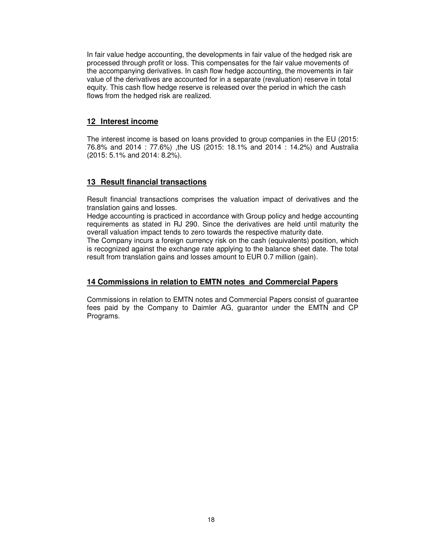In fair value hedge accounting, the developments in fair value of the hedged risk are processed through profit or loss. This compensates for the fair value movements of the accompanying derivatives. In cash flow hedge accounting, the movements in fair value of the derivatives are accounted for in a separate (revaluation) reserve in total equity. This cash flow hedge reserve is released over the period in which the cash flows from the hedged risk are realized.

#### **12 Interest income**

The interest income is based on loans provided to group companies in the EU (2015: 76.8% and 2014 : 77.6%) ,the US (2015: 18.1% and 2014 : 14.2%) and Australia (2015: 5.1% and 2014: 8.2%).

#### **13 Result financial transactions**

Result financial transactions comprises the valuation impact of derivatives and the translation gains and losses.

Hedge accounting is practiced in accordance with Group policy and hedge accounting requirements as stated in RJ 290. Since the derivatives are held until maturity the overall valuation impact tends to zero towards the respective maturity date.

The Company incurs a foreign currency risk on the cash (equivalents) position, which is recognized against the exchange rate applying to the balance sheet date. The total result from translation gains and losses amount to EUR 0.7 million (gain).

#### **14 Commissions in relation to EMTN notes and Commercial Papers**

Commissions in relation to EMTN notes and Commercial Papers consist of guarantee fees paid by the Company to Daimler AG, guarantor under the EMTN and CP Programs.